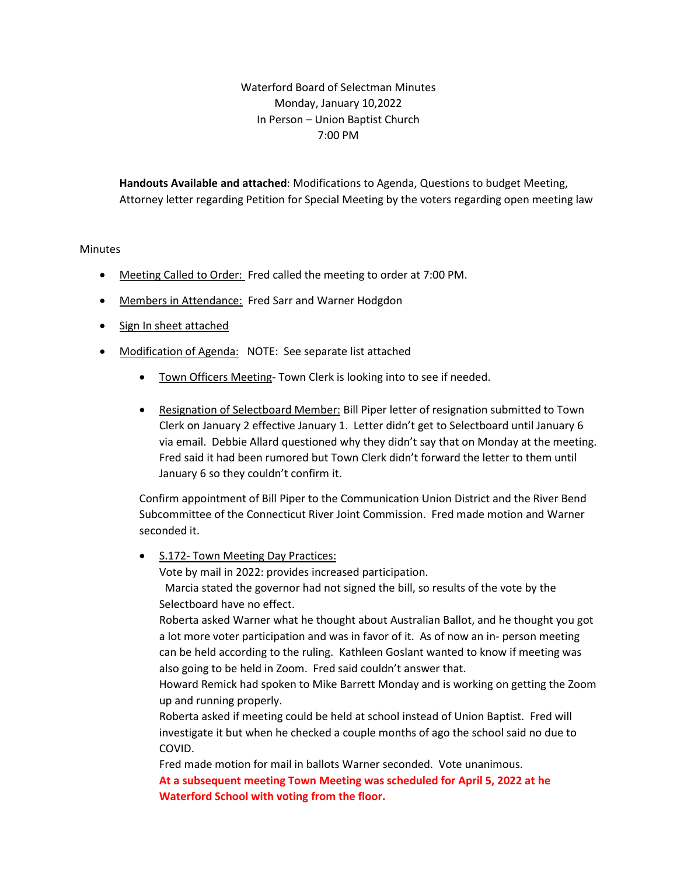## Waterford Board of Selectman Minutes Monday, January 10,2022 In Person – Union Baptist Church 7:00 PM

**Handouts Available and attached**: Modifications to Agenda, Questions to budget Meeting, Attorney letter regarding Petition for Special Meeting by the voters regarding open meeting law

## **Minutes**

- Meeting Called to Order: Fred called the meeting to order at 7:00 PM.
- Members in Attendance: Fred Sarr and Warner Hodgdon
- Sign In sheet attached
- Modification of Agenda: NOTE: See separate list attached
	- Town Officers Meeting- Town Clerk is looking into to see if needed.
	- Resignation of Selectboard Member: Bill Piper letter of resignation submitted to Town Clerk on January 2 effective January 1. Letter didn't get to Selectboard until January 6 via email. Debbie Allard questioned why they didn't say that on Monday at the meeting. Fred said it had been rumored but Town Clerk didn't forward the letter to them until January 6 so they couldn't confirm it.

Confirm appointment of Bill Piper to the Communication Union District and the River Bend Subcommittee of the Connecticut River Joint Commission. Fred made motion and Warner seconded it.

• S.172- Town Meeting Day Practices: Vote by mail in 2022: provides increased participation. Marcia stated the governor had not signed the bill, so results of the vote by the Selectboard have no effect. Roberta asked Warner what he thought about Australian Ballot, and he thought you got a lot more voter participation and was in favor of it. As of now an in- person meeting can be held according to the ruling. Kathleen Goslant wanted to know if meeting was also going to be held in Zoom. Fred said couldn't answer that. Howard Remick had spoken to Mike Barrett Monday and is working on getting the Zoom up and running properly. Roberta asked if meeting could be held at school instead of Union Baptist. Fred will investigate it but when he checked a couple months of ago the school said no due to COVID. Fred made motion for mail in ballots Warner seconded. Vote unanimous. **At a subsequent meeting Town Meeting was scheduled for April 5, 2022 at he** 

**Waterford School with voting from the floor.**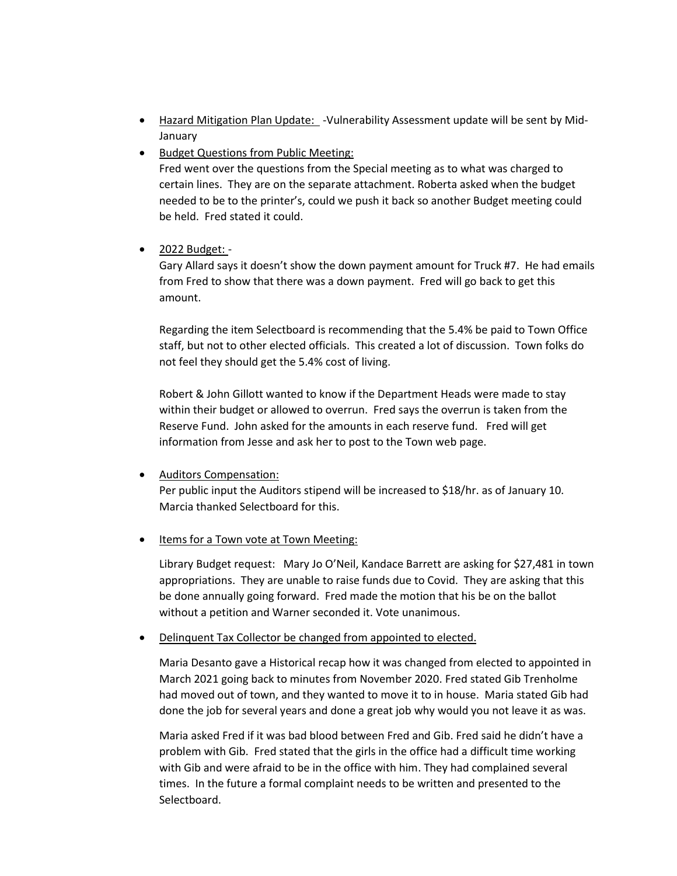- Hazard Mitigation Plan Update: -Vulnerability Assessment update will be sent by Mid-January
- Budget Questions from Public Meeting:

Fred went over the questions from the Special meeting as to what was charged to certain lines. They are on the separate attachment. Roberta asked when the budget needed to be to the printer's, could we push it back so another Budget meeting could be held. Fred stated it could.

• 2022 Budget: -

Gary Allard says it doesn't show the down payment amount for Truck #7. He had emails from Fred to show that there was a down payment. Fred will go back to get this amount.

Regarding the item Selectboard is recommending that the 5.4% be paid to Town Office staff, but not to other elected officials. This created a lot of discussion. Town folks do not feel they should get the 5.4% cost of living.

Robert & John Gillott wanted to know if the Department Heads were made to stay within their budget or allowed to overrun. Fred says the overrun is taken from the Reserve Fund. John asked for the amounts in each reserve fund. Fred will get information from Jesse and ask her to post to the Town web page.

• Auditors Compensation:

Per public input the Auditors stipend will be increased to \$18/hr. as of January 10. Marcia thanked Selectboard for this.

• Items for a Town vote at Town Meeting:

Library Budget request: Mary Jo O'Neil, Kandace Barrett are asking for \$27,481 in town appropriations. They are unable to raise funds due to Covid. They are asking that this be done annually going forward. Fred made the motion that his be on the ballot without a petition and Warner seconded it. Vote unanimous.

• Delinquent Tax Collector be changed from appointed to elected.

Maria Desanto gave a Historical recap how it was changed from elected to appointed in March 2021 going back to minutes from November 2020. Fred stated Gib Trenholme had moved out of town, and they wanted to move it to in house. Maria stated Gib had done the job for several years and done a great job why would you not leave it as was.

Maria asked Fred if it was bad blood between Fred and Gib. Fred said he didn't have a problem with Gib. Fred stated that the girls in the office had a difficult time working with Gib and were afraid to be in the office with him. They had complained several times. In the future a formal complaint needs to be written and presented to the Selectboard.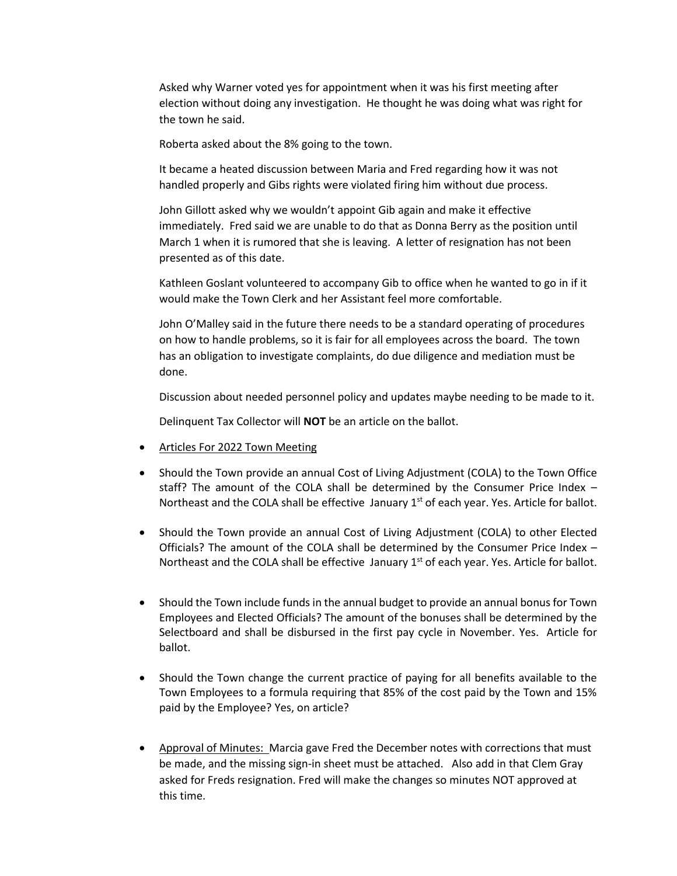Asked why Warner voted yes for appointment when it was his first meeting after election without doing any investigation. He thought he was doing what was right for the town he said.

Roberta asked about the 8% going to the town.

It became a heated discussion between Maria and Fred regarding how it was not handled properly and Gibs rights were violated firing him without due process.

John Gillott asked why we wouldn't appoint Gib again and make it effective immediately. Fred said we are unable to do that as Donna Berry as the position until March 1 when it is rumored that she is leaving. A letter of resignation has not been presented as of this date.

Kathleen Goslant volunteered to accompany Gib to office when he wanted to go in if it would make the Town Clerk and her Assistant feel more comfortable.

John O'Malley said in the future there needs to be a standard operating of procedures on how to handle problems, so it is fair for all employees across the board. The town has an obligation to investigate complaints, do due diligence and mediation must be done.

Discussion about needed personnel policy and updates maybe needing to be made to it.

Delinquent Tax Collector will **NOT** be an article on the ballot.

- Articles For 2022 Town Meeting
- Should the Town provide an annual Cost of Living Adjustment (COLA) to the Town Office staff? The amount of the COLA shall be determined by the Consumer Price Index – Northeast and the COLA shall be effective January  $1<sup>st</sup>$  of each year. Yes. Article for ballot.
- Should the Town provide an annual Cost of Living Adjustment (COLA) to other Elected Officials? The amount of the COLA shall be determined by the Consumer Price Index – Northeast and the COLA shall be effective January  $1<sup>st</sup>$  of each year. Yes. Article for ballot.
- Should the Town include funds in the annual budget to provide an annual bonus for Town Employees and Elected Officials? The amount of the bonuses shall be determined by the Selectboard and shall be disbursed in the first pay cycle in November. Yes. Article for ballot.
- Should the Town change the current practice of paying for all benefits available to the Town Employees to a formula requiring that 85% of the cost paid by the Town and 15% paid by the Employee? Yes, on article?
- Approval of Minutes: Marcia gave Fred the December notes with corrections that must be made, and the missing sign-in sheet must be attached. Also add in that Clem Gray asked for Freds resignation. Fred will make the changes so minutes NOT approved at this time.